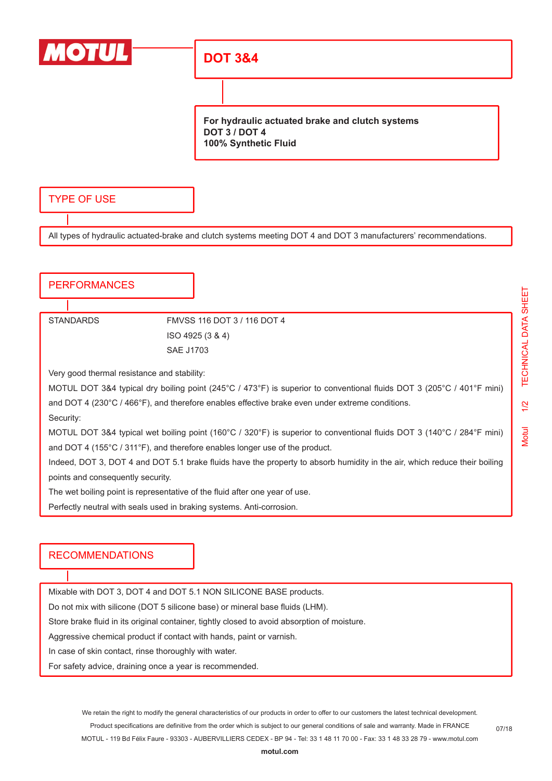

### **DOT 3&4**

**For hydraulic actuated brake and clutch systems DOT 3 / DOT 4 100% Synthetic Fluid**

#### TYPE OF USE

All types of hydraulic actuated-brake and clutch systems meeting DOT 4 and DOT 3 manufacturers' recommendations.

#### **PERFORMANCES**

#### STANDARDS FMVSS 116 DOT 3 / 116 DOT 4 ISO 4925 (3 & 4) SAE J1703

Very good thermal resistance and stability:

MOTUL DOT 3&4 typical dry boiling point (245°C / 473°F) is superior to conventional fluids DOT 3 (205°C / 401°F mini) and DOT 4 (230°C / 466°F), and therefore enables effective brake even under extreme conditions.

Security:

MOTUL DOT 3&4 typical wet boiling point (160°C / 320°F) is superior to conventional fluids DOT 3 (140°C / 284°F mini) and DOT 4 (155°C / 311°F), and therefore enables longer use of the product.

Indeed, DOT 3, DOT 4 and DOT 5.1 brake fluids have the property to absorb humidity in the air, which reduce their boiling points and consequently security.

The wet boiling point is representative of the fluid after one year of use.

Perfectly neutral with seals used in braking systems. Anti-corrosion.

#### RECOMMENDATIONS

Mixable with DOT 3, DOT 4 and DOT 5.1 NON SILICONE BASE products.

Do not mix with silicone (DOT 5 silicone base) or mineral base fluids (LHM).

Store brake fluid in its original container, tightly closed to avoid absorption of moisture.

Aggressive chemical product if contact with hands, paint or varnish.

In case of skin contact, rinse thoroughly with water.

For safety advice, draining once a year is recommended.

Motul 1/2 TECHNICAL DATA SHEET

 $1/2$ 

**Motul** 

TECHNICAL DATA SHEET